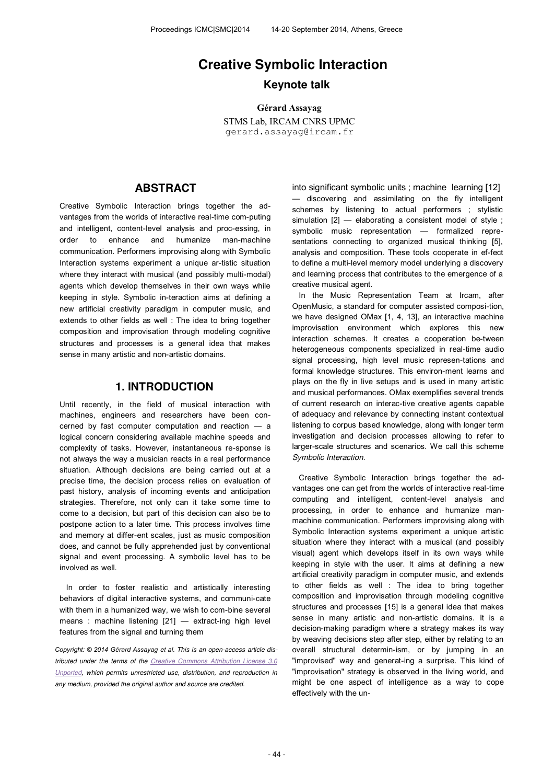# **Creative Symbolic Interaction Keynote talk**

**Gérard Assayag** STMS Lab, IRCAM CNRS UPMC gerard.assayag@ircam.fr

### **ABSTRACT**

Creative Symbolic Interaction brings together the advantages from the worlds of interactive real-time com-puting and intelligent, content-level analysis and proc-essing, in order to enhance and humanize man-machine communication. Performers improvising along with Symbolic Interaction systems experiment a unique ar-tistic situation where they interact with musical (and possibly multi-modal) agents which develop themselves in their own ways while keeping in style. Symbolic in-teraction aims at defining a new artificial creativity paradigm in computer music, and extends to other fields as well : The idea to bring together composition and improvisation through modeling cognitive structures and processes is a general idea that makes sense in many artistic and non-artistic domains.

### **1. INTRODUCTION**

Until recently, in the field of musical interaction with machines, engineers and researchers have been concerned by fast computer computation and reaction — a logical concern considering available machine speeds and complexity of tasks. However, instantaneous re-sponse is not always the way a musician reacts in a real performance situation. Although decisions are being carried out at a precise time, the decision process relies on evaluation of past history, analysis of incoming events and anticipation strategies. Therefore, not only can it take some time to come to a decision, but part of this decision can also be to postpone action to a later time. This process involves time and memory at differ-ent scales, just as music composition does, and cannot be fully apprehended just by conventional signal and event processing. A symbolic level has to be involved as well.

In order to foster realistic and artistically interesting behaviors of digital interactive systems, and communi-cate with them in a humanized way, we wish to com-bine several means : machine listening [21] — extract-ing high level features from the signal and turning them

*Copyright: © 2014 Gérard Assayag et al. This is an open-access article distributed under the terms of the Creative Commons Attribution License 3.0 Unported, which permits unrestricted use, distribution, and reproduction in any medium, provided the original author and source are credited.*

into significant symbolic units ; machine learning [12] — discovering and assimilating on the fly intelligent schemes by listening to actual performers ; stylistic simulation  $[2]$  — elaborating a consistent model of style; symbolic music representation — formalized representations connecting to organized musical thinking [5], analysis and composition. These tools cooperate in ef-fect to define a multi-level memory model underlying a discovery and learning process that contributes to the emergence of a creative musical agent.

In the Music Representation Team at Ircam, after OpenMusic, a standard for computer assisted composi-tion, we have designed OMax [1, 4, 13], an interactive machine improvisation environment which explores this new interaction schemes. It creates a cooperation be-tween heterogeneous components specialized in real-time audio signal processing, high level music represen-tations and formal knowledge structures. This environ-ment learns and plays on the fly in live setups and is used in many artistic and musical performances. OMax exemplifies several trends of current research on interac-tive creative agents capable of adequacy and relevance by connecting instant contextual listening to corpus based knowledge, along with longer term investigation and decision processes allowing to refer to larger-scale structures and scenarios. We call this scheme *Symbolic Interaction*.

Creative Symbolic Interaction brings together the advantages one can get from the worlds of interactive real-time computing and intelligent, content-level analysis and processing, in order to enhance and humanize manmachine communication. Performers improvising along with Symbolic Interaction systems experiment a unique artistic situation where they interact with a musical (and possibly visual) agent which develops itself in its own ways while keeping in style with the user. It aims at defining a new artificial creativity paradigm in computer music, and extends to other fields as well : The idea to bring together composition and improvisation through modeling cognitive structures and processes [15] is a general idea that makes sense in many artistic and non-artistic domains. It is a decision-making paradigm where a strategy makes its way by weaving decisions step after step, either by relating to an overall structural determin-ism, or by jumping in an "improvised" way and generat-ing a surprise. This kind of "improvisation" strategy is observed in the living world, and might be one aspect of intelligence as a way to cope effectively with the un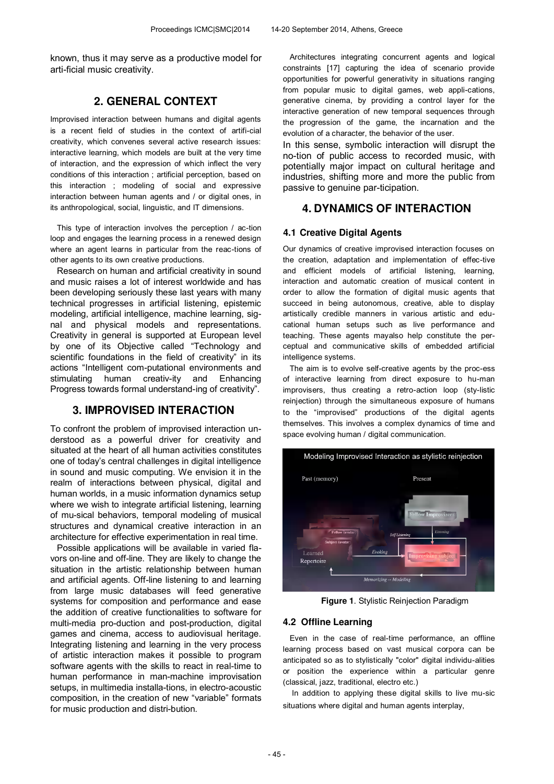known, thus it may serve as a productive model for arti-ficial music creativity.

## **2. GENERAL CONTEXT**

Improvised interaction between humans and digital agents is a recent field of studies in the context of artifi-cial creativity, which convenes several active research issues: interactive learning, which models are built at the very time of interaction, and the expression of which inflect the very conditions of this interaction ; artificial perception, based on this interaction ; modeling of social and expressive interaction between human agents and / or digital ones, in its anthropological, social, linguistic, and IT dimensions.

This type of interaction involves the perception / ac-tion loop and engages the learning process in a renewed design where an agent learns in particular from the reac-tions of other agents to its own creative productions.

Research on human and artificial creativity in sound and music raises a lot of interest worldwide and has been developing seriously these last years with many technical progresses in artificial listening, epistemic modeling, artificial intelligence, machine learning, signal and physical models and representations. Creativity in general is supported at European level by one of its Objective called "Technology and scientific foundations in the field of creativity" in its actions "Intelligent com-putational environments and stimulating human creativ-ity and Enhancing Progress towards formal understand-ing of creativity".

## **3. IMPROVISED INTERACTION**

To confront the problem of improvised interaction understood as a powerful driver for creativity and situated at the heart of all human activities constitutes one of today's central challenges in digital intelligence in sound and music computing. We envision it in the realm of interactions between physical, digital and human worlds, in a music information dynamics setup where we wish to integrate artificial listening, learning of mu-sical behaviors, temporal modeling of musical structures and dynamical creative interaction in an architecture for effective experimentation in real time.

Possible applications will be available in varied flavors on-line and off-line. They are likely to change the situation in the artistic relationship between human and artificial agents. Off-line listening to and learning from large music databases will feed generative systems for composition and performance and ease the addition of creative functionalities to software for multi-media pro-duction and post-production, digital games and cinema, access to audiovisual heritage. Integrating listening and learning in the very process of artistic interaction makes it possible to program software agents with the skills to react in real-time to human performance in man-machine improvisation setups, in multimedia installa-tions, in electro-acoustic composition, in the creation of new "variable" formats for music production and distri-bution.

Architectures integrating concurrent agents and logical constraints [17] capturing the idea of scenario provide opportunities for powerful generativity in situations ranging from popular music to digital games, web appli-cations, generative cinema, by providing a control layer for the interactive generation of new temporal sequences through the progression of the game, the incarnation and the evolution of a character, the behavior of the user.

In this sense, symbolic interaction will disrupt the no-tion of public access to recorded music, with potentially major impact on cultural heritage and industries, shifting more and more the public from passive to genuine par-ticipation.

## **4. DYNAMICS OF INTERACTION**

### **4.1 Creative Digital Agents**

Our dynamics of creative improvised interaction focuses on the creation, adaptation and implementation of effec-tive and efficient models of artificial listening, learning, interaction and automatic creation of musical content in order to allow the formation of digital music agents that succeed in being autonomous, creative, able to display artistically credible manners in various artistic and educational human setups such as live performance and teaching. These agents mayalso help constitute the perceptual and communicative skills of embedded artificial intelligence systems.

The aim is to evolve self-creative agents by the proc-ess of interactive learning from direct exposure to hu-man improvisers, thus creating a retro-action loop (sty-listic reinjection) through the simultaneous exposure of humans to the "improvised" productions of the digital agents themselves. This involves a complex dynamics of time and space evolving human / digital communication.



**Figure 1**. Stylistic Reinjection Paradigm

#### **4.2 Offline Learning**

Even in the case of real-time performance, an offline learning process based on vast musical corpora can be anticipated so as to stylistically "color" digital individu-alities or position the experience within a particular genre (classical, jazz, traditional, electro etc.)

In addition to applying these digital skills to live mu-sic situations where digital and human agents interplay,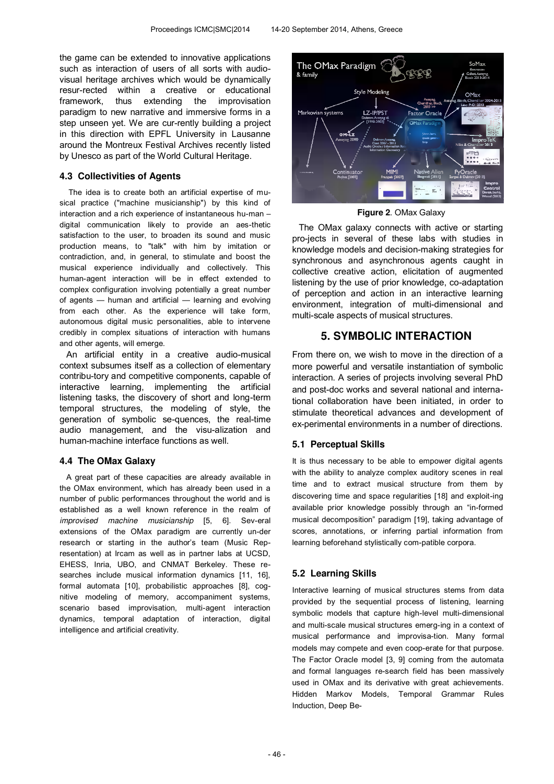the game can be extended to innovative applications such as interaction of users of all sorts with audiovisual heritage archives which would be dynamically resur-rected within a creative or educational framework, thus extending the improvisation paradigm to new narrative and immersive forms in a step unseen yet. We are cur-rently building a project in this direction with EPFL University in Lausanne around the Montreux Festival Archives recently listed by Unesco as part of the World Cultural Heritage.

### **4.3 Collectivities of Agents**

The idea is to create both an artificial expertise of musical practice ("machine musicianship") by this kind of interaction and a rich experience of instantaneous hu-man – digital communication likely to provide an aes-thetic satisfaction to the user, to broaden its sound and music production means, to "talk" with him by imitation or contradiction, and, in general, to stimulate and boost the musical experience individually and collectively. This human-agent interaction will be in effect extended to complex configuration involving potentially a great number of agents — human and artificial — learning and evolving from each other. As the experience will take form, autonomous digital music personalities, able to intervene credibly in complex situations of interaction with humans and other agents, will emerge.

An artificial entity in a creative audio-musical context subsumes itself as a collection of elementary contribu-tory and competitive components, capable of interactive learning, implementing the artificial listening tasks, the discovery of short and long-term temporal structures, the modeling of style, the generation of symbolic se-quences, the real-time audio management, and the visu-alization and human-machine interface functions as well.

#### **4.4 The OMax Galaxy**

A great part of these capacities are already available in the OMax environment, which has already been used in a number of public performances throughout the world and is established as a well known reference in the realm of *improvised machine musicianship* [5, 6]. Sev-eral extensions of the OMax paradigm are currently un-der research or starting in the author's team (Music Representation) at Ircam as well as in partner labs at UCSD, EHESS, Inria, UBO, and CNMAT Berkeley. These researches include musical information dynamics [11, 16], formal automata [10], probabilistic approaches [8], cognitive modeling of memory, accompaniment systems, scenario based improvisation, multi-agent interaction dynamics, temporal adaptation of interaction, digital intelligence and artificial creativity.



**Figure 2**. OMax Galaxy

The OMax galaxy connects with active or starting pro-jects in several of these labs with studies in knowledge models and decision-making strategies for synchronous and asynchronous agents caught in collective creative action, elicitation of augmented listening by the use of prior knowledge, co-adaptation of perception and action in an interactive learning environment, integration of multi-dimensional and multi-scale aspects of musical structures.

## **5. SYMBOLIC INTERACTION**

From there on, we wish to move in the direction of a more powerful and versatile instantiation of symbolic interaction. A series of projects involving several PhD and post-doc works and several national and international collaboration have been initiated, in order to stimulate theoretical advances and development of ex-perimental environments in a number of directions.

### **5.1 Perceptual Skills**

It is thus necessary to be able to empower digital agents with the ability to analyze complex auditory scenes in real time and to extract musical structure from them by discovering time and space regularities [18] and exploit-ing available prior knowledge possibly through an "in-formed musical decomposition" paradigm [19], taking advantage of scores, annotations, or inferring partial information from learning beforehand stylistically com-patible corpora.

### **5.2 Learning Skills**

Interactive learning of musical structures stems from data provided by the sequential process of listening, learning symbolic models that capture high-level multi-dimensional and multi-scale musical structures emerg-ing in a context of musical performance and improvisa-tion. Many formal models may compete and even coop-erate for that purpose. The Factor Oracle model [3, 9] coming from the automata and formal languages re-search field has been massively used in OMax and its derivative with great achievements. Hidden Markov Models, Temporal Grammar Rules Induction, Deep Be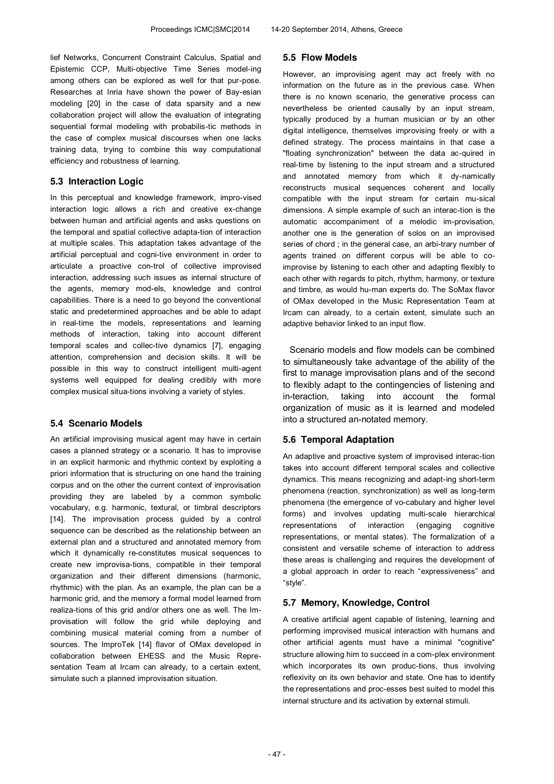lief Networks, Concurrent Constraint Calculus, Spatial and Epistemic CCP, Multi-objective Time Series model-ing among others can be explored as well for that pur-pose. Researches at Inria have shown the power of Bay-esian modeling [20] in the case of data sparsity and a new collaboration project will allow the evaluation of integrating sequential formal modeling with probabilis-tic methods in the case of complex musical discourses when one lacks training data, trying to combine this way computational efficiency and robustness of learning.

### **5.3 Interaction Logic**

In this perceptual and knowledge framework, impro-vised interaction logic allows a rich and creative ex-change between human and artificial agents and asks questions on the temporal and spatial collective adapta-tion of interaction at multiple scales. This adaptation takes advantage of the artificial perceptual and cogni-tive environment in order to articulate a proactive con-trol of collective improvised interaction, addressing such issues as internal structure of the agents, memory mod-els, knowledge and control capabilities. There is a need to go beyond the conventional static and predetermined approaches and be able to adapt in real-time the models, representations and learning methods of interaction, taking into account different temporal scales and collec-tive dynamics [7], engaging attention, comprehension and decision skills. It will be possible in this way to construct intelligent multi-agent systems well equipped for dealing credibly with more complex musical situa-tions involving a variety of styles.

#### **5.4 Scenario Models**

An artificial improvising musical agent may have in certain cases a planned strategy or a scenario. It has to improvise in an explicit harmonic and rhythmic context by exploiting a priori information that is structuring on one hand the training corpus and on the other the current context of improvisation providing they are labeled by a common symbolic vocabulary, e.g. harmonic, textural, or timbral descriptors [14]. The improvisation process guided by a control sequence can be described as the relationship between an external plan and a structured and annotated memory from which it dynamically re-constitutes musical sequences to create new improvisa-tions, compatible in their temporal organization and their different dimensions (harmonic, rhythmic) with the plan. As an example, the plan can be a harmonic grid, and the memory a formal model learned from realiza-tions of this grid and/or others one as well. The Improvisation will follow the grid while deploying and combining musical material coming from a number of sources. The ImproTek [14] flavor of OMax developed in collaboration between EHESS and the Music Representation Team at Ircam can already, to a certain extent, simulate such a planned improvisation situation.

#### **5.5 Flow Models**

However, an improvising agent may act freely with no information on the future as in the previous case. When there is no known scenario, the generative process can nevertheless be oriented causally by an input stream, typically produced by a human musician or by an other digital intelligence, themselves improvising freely or with a defined strategy. The process maintains in that case a "floating synchronization" between the data ac-quired in real-time by listening to the input stream and a structured and annotated memory from which it dy-namically reconstructs musical sequences coherent and locally compatible with the input stream for certain mu-sical dimensions. A simple example of such an interac-tion is the automatic accompaniment of a melodic im-provisation, another one is the generation of solos on an improvised series of chord ; in the general case, an arbi-trary number of agents trained on different corpus will be able to coimprovise by listening to each other and adapting flexibly to each other with regards to pitch, rhythm, harmony, or texture and timbre, as would hu-man experts do. The SoMax flavor of OMax developed in the Music Representation Team at Ircam can already, to a certain extent, simulate such an adaptive behavior linked to an input flow.

Scenario models and flow models can be combined to simultaneously take advantage of the ability of the first to manage improvisation plans and of the second to flexibly adapt to the contingencies of listening and in-teraction, taking into account the formal organization of music as it is learned and modeled into a structured an-notated memory.

#### **5.6 Temporal Adaptation**

An adaptive and proactive system of improvised interac-tion takes into account different temporal scales and collective dynamics. This means recognizing and adapt-ing short-term phenomena (reaction, synchronization) as well as long-term phenomena (the emergence of vo-cabulary and higher level forms) and involves updating multi-scale hierarchical representations of interaction (engaging cognitive representations, or mental states). The formalization of a consistent and versatile scheme of interaction to address these areas is challenging and requires the development of a global approach in order to reach "expressiveness" and "style".

#### **5.7 Memory, Knowledge, Control**

A creative artificial agent capable of listening, learning and performing improvised musical interaction with humans and other artificial agents must have a minimal "cognitive" structure allowing him to succeed in a com-plex environment which incorporates its own produc-tions, thus involving reflexivity on its own behavior and state. One has to identify the representations and proc-esses best suited to model this internal structure and its activation by external stimuli.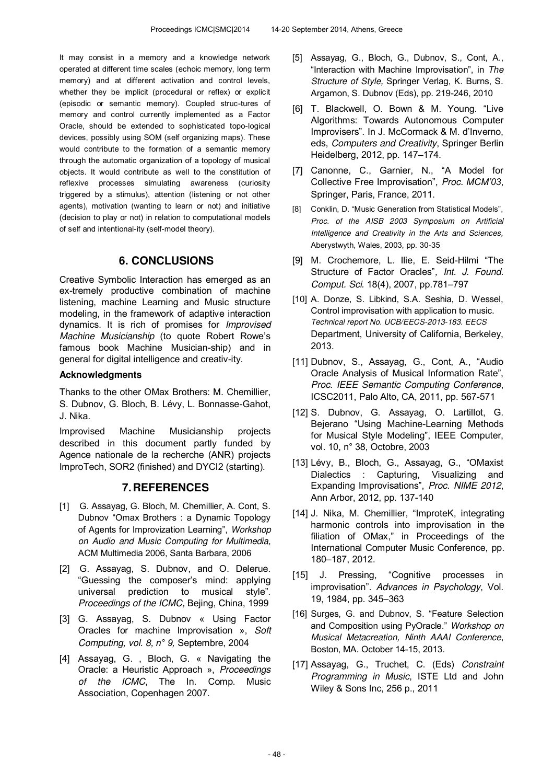It may consist in a memory and a knowledge network operated at different time scales (echoic memory, long term memory) and at different activation and control levels, whether they be implicit (procedural or reflex) or explicit (episodic or semantic memory). Coupled struc-tures of memory and control currently implemented as a Factor Oracle, should be extended to sophisticated topo-logical devices, possibly using SOM (self organizing maps). These would contribute to the formation of a semantic memory through the automatic organization of a topology of musical objects. It would contribute as well to the constitution of reflexive processes simulating awareness (curiosity triggered by a stimulus), attention (listening or not other agents), motivation (wanting to learn or not) and initiative (decision to play or not) in relation to computational models of self and intentional-ity (self-model theory).

## **6. CONCLUSIONS**

Creative Symbolic Interaction has emerged as an ex-tremely productive combination of machine listening, machine Learning and Music structure modeling, in the framework of adaptive interaction dynamics. It is rich of promises for *Improvised Machine Musicianship* (to quote Robert Rowe's famous book Machine Musician-ship) and in general for digital intelligence and creativ-ity.

### **Acknowledgments**

Thanks to the other OMax Brothers: M. Chemillier, S. Dubnov, G. Bloch, B. Lévy, L. Bonnasse-Gahot, J. Nika.

Improvised Machine Musicianship projects described in this document partly funded by Agence nationale de la recherche (ANR) projects ImproTech, SOR2 (finished) and DYCI2 (starting).

## **7. REFERENCES**

- [1] G. Assayag, G. Bloch, M. Chemillier, A. Cont, S. Dubnov "Omax Brothers : a Dynamic Topology of Agents for Improvization Learning", *Workshop on Audio and Music Computing for Multimedia*, ACM Multimedia 2006, Santa Barbara, 2006
- [2] G. Assayag, S. Dubnov, and O. Delerue. "Guessing the composer's mind: applying universal prediction to musical style". *Proceedings of the ICMC,* Bejing, China, 1999
- [3] G. Assayag, S. Dubnov « Using Factor Oracles for machine Improvisation », *Soft Computing, vol. 8, n° 9,* Septembre, 2004
- [4] Assayag, G. , Bloch, G. « Navigating the Oracle: a Heuristic Approach », *Proceedings of the ICMC*, The In. Comp. Music Association, Copenhagen 2007.
- [5] Assayag, G., Bloch, G., Dubnov, S., Cont, A., "Interaction with Machine Improvisation", in *The Structure of Style,* Springer Verlag, K. Burns, S. Argamon, S. Dubnov (Eds), pp. 219-246, 2010
- [6] T. Blackwell, O. Bown & M. Young. "Live Algorithms: Towards Autonomous Computer Improvisers". In J. McCormack & M. d'Inverno, eds, *Computers and Creativity*, Springer Berlin Heidelberg, 2012, pp. 147–174.
- [7] Canonne, C., Garnier, N., "A Model for Collective Free Improvisation", *Proc. MCM'03*, Springer, Paris, France, 2011.
- [8] Conklin, D. "Music Generation from Statistical Models", *Proc. of the AISB 2003 Symposium on Artificial Intelligence and Creativity in the Arts and Sciences,*  Aberystwyth, Wales, 2003, pp. 30-35
- [9] M. Crochemore, L. Ilie, E. Seid-Hilmi "The Structure of Factor Oracles"*, Int. J. Found. Comput. Sci.* 18(4), 2007, pp.781–797
- [10] A. Donze, S. Libkind, S.A. Seshia, D. Wessel, Control improvisation with application to music. *Technical report No. UCB/EECS-2013-183. EECS*  Department, University of California, Berkeley, 2013.
- [11] Dubnov, S., Assayag, G., Cont, A., "Audio Oracle Analysis of Musical Information Rate", *Proc. IEEE Semantic Computing Conference*, ICSC2011, Palo Alto, CA, 2011, pp. 567-571
- [12] S. Dubnov, G. Assayag, O. Lartillot, G. Bejerano "Using Machine-Learning Methods for Musical Style Modeling", IEEE Computer, vol. 10, n° 38, Octobre, 2003
- [13] Lévy, B., Bloch, G., Assayag, G., "OMaxist Dialectics : Capturing, Visualizing and Expanding Improvisations", *Proc. NIME 2012*, Ann Arbor, 2012, pp. 137-140
- [14] J. Nika, M. Chemillier, "ImproteK, integrating harmonic controls into improvisation in the filiation of OMax," in Proceedings of the International Computer Music Conference, pp. 180–187, 2012.
- [15] J. Pressing, "Cognitive processes in improvisation". *Advances in Psychology*, Vol. 19, 1984, pp. 345–363
- [16] Surges, G. and Dubnov, S. "Feature Selection and Composition using PyOracle." *Workshop on Musical Metacreation, Ninth AAAI Conference*, Boston, MA. October 14-15, 2013.
- [17] Assayag, G., Truchet, C. (Eds) *Constraint Programming in Music*, ISTE Ltd and John Wiley & Sons Inc, 256 p., 2011